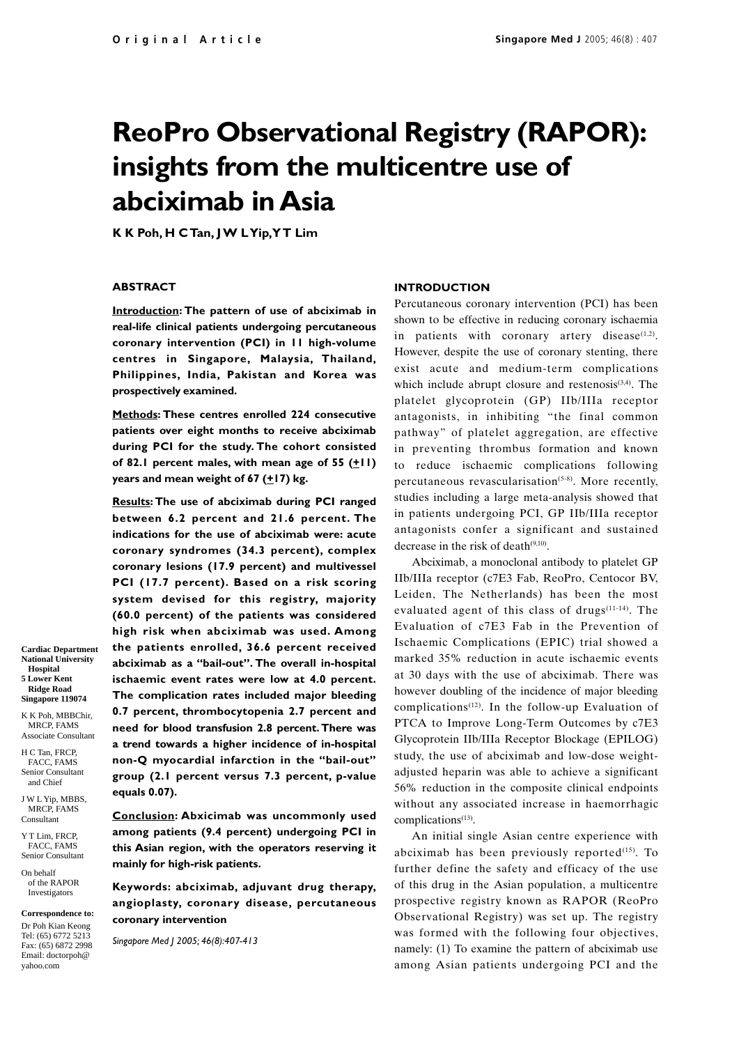# **ReoPro Observational Registry (RAPOR): insights from the multicentre use of abciximab in Asia**

**K K Poh, H C Tan, J W L Yip, Y T Lim**

# **ABSTRACT**

**Introduction: The pattern of use of abciximab in real-life clinical patients undergoing percutaneous coronary intervention (PCI) in 11 high-volume centres in Singapore, Malaysia, Thailand, Philippines, India, Pakistan and Korea was prospectively examined.**

**Methods: These centres enrolled 224 consecutive patients over eight months to receive abciximab during PCI for the study. The cohort consisted** of 82.1 percent males, with mean age of  $55$   $(\pm 11)$ **years and mean weight of 67 (** $\pm$ **17) kg.** 

**Results: The use of abciximab during PCI ranged between 6.2 percent and 21.6 percent. The indications for the use of abciximab were: acute coronary syndromes (34.3 percent), complex coronary lesions (17.9 percent) and multivessel PCI (17.7 percent). Based on a risk scoring system devised for this registry, majority (60.0 percent) of the patients was considered high risk when abciximab was used. Among the patients enrolled, 36.6 percent received abciximab as a "bail-out". The overall in-hospital ischaemic event rates were low at 4.0 percent. The complication rates included major bleeding 0.7 percent, thrombocytopenia 2.7 percent and need for blood transfusion 2.8 percent. There was a trend towards a higher incidence of in-hospital non-Q myocardial infarction in the "bail-out" group (2.1 percent versus 7.3 percent, p-value equals 0.07).**

**Conclusion: Abxicimab was uncommonly used among patients (9.4 percent) undergoing PCI in this Asian region, with the operators reserving it mainly for high-risk patients.**

**Keywords: abciximab, adjuvant drug therapy, angioplasty, coronary disease, percutaneous coronary intervention**

*Singapore Med J 2005; 46(8):407-413*

#### **INTRODUCTION**

Percutaneous coronary intervention (PCI) has been shown to be effective in reducing coronary ischaemia in patients with coronary artery disease $(1,2)$ . However, despite the use of coronary stenting, there exist acute and medium-term complications which include abrupt closure and restenosis<sup>(3,4)</sup>. The platelet glycoprotein (GP) IIb/IIIa receptor antagonists, in inhibiting "the final common pathway" of platelet aggregation, are effective in preventing thrombus formation and known to reduce ischaemic complications following percutaneous revascularisation $(5-8)$ . More recently, studies including a large meta-analysis showed that in patients undergoing PCI, GP IIb/IIIa receptor antagonists confer a significant and sustained decrease in the risk of death $(9,10)$ .

Abciximab, a monoclonal antibody to platelet GP IIb/IIIa receptor (c7E3 Fab, ReoPro, Centocor BV, Leiden, The Netherlands) has been the most evaluated agent of this class of drugs(11-14). The Evaluation of c7E3 Fab in the Prevention of Ischaemic Complications (EPIC) trial showed a marked 35% reduction in acute ischaemic events at 30 days with the use of abciximab. There was however doubling of the incidence of major bleeding complications<sup> $(12)$ </sup>. In the follow-up Evaluation of PTCA to Improve Long-Term Outcomes by c7E3 Glycoprotein IIb/IIIa Receptor Blockage (EPILOG) study, the use of abciximab and low-dose weightadjusted heparin was able to achieve a significant 56% reduction in the composite clinical endpoints without any associated increase in haemorrhagic complications<sup>(13)</sup>.

An initial single Asian centre experience with abciximab has been previously reported $(15)$ . To further define the safety and efficacy of the use of this drug in the Asian population, a multicentre prospective registry known as RAPOR (ReoPro Observational Registry) was set up. The registry was formed with the following four objectives, namely: (1) To examine the pattern of abciximab use among Asian patients undergoing PCI and the

**National University Hospital 5 Lower Kent Ridge Road Singapore 119074**

**Cardiac Department**

K K Poh, MBBChir, MRCP, FAMS Associate Consultant

H C Tan, FRCP, FACC, FAMS Senior Consultant and Chief

J W L Yip, MBBS, MRCP, FAMS Consultant

Y T Lim, FRCP, FACC, FAMS Senior Consultant

On behalf of the RAPOR Investigators

**Correspondence to:** Dr Poh Kian Keong Tel: (65) 6772 5213 Fax: (65) 6872 2998 Email: doctorpoh@ yahoo.com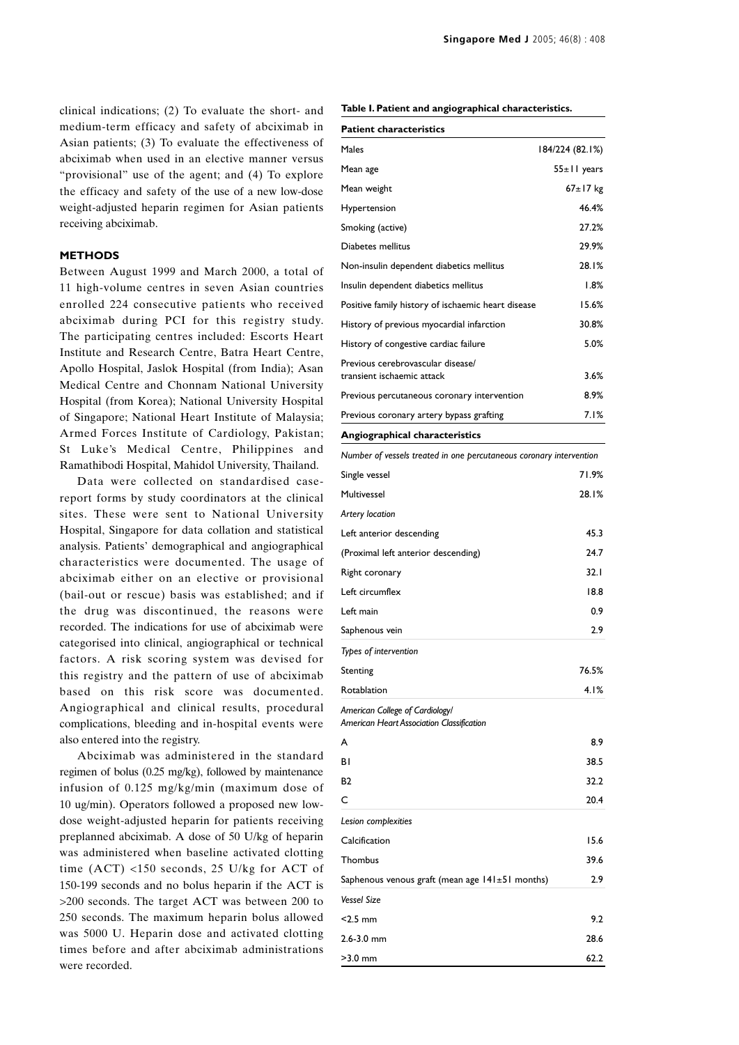clinical indications; (2) To evaluate the short- and medium-term efficacy and safety of abciximab in Asian patients; (3) To evaluate the effectiveness of abciximab when used in an elective manner versus "provisional" use of the agent; and (4) To explore the efficacy and safety of the use of a new low-dose weight-adjusted heparin regimen for Asian patients receiving abciximab.

# **METHODS**

Between August 1999 and March 2000, a total of 11 high-volume centres in seven Asian countries enrolled 224 consecutive patients who received abciximab during PCI for this registry study. The participating centres included: Escorts Heart Institute and Research Centre, Batra Heart Centre, Apollo Hospital, Jaslok Hospital (from India); Asan Medical Centre and Chonnam National University Hospital (from Korea); National University Hospital of Singapore; National Heart Institute of Malaysia; Armed Forces Institute of Cardiology, Pakistan; St Luke's Medical Centre, Philippines and Ramathibodi Hospital, Mahidol University, Thailand.

Data were collected on standardised casereport forms by study coordinators at the clinical sites. These were sent to National University Hospital, Singapore for data collation and statistical analysis. Patients' demographical and angiographical characteristics were documented. The usage of abciximab either on an elective or provisional (bail-out or rescue) basis was established; and if the drug was discontinued, the reasons were recorded. The indications for use of abciximab were categorised into clinical, angiographical or technical factors. A risk scoring system was devised for this registry and the pattern of use of abciximab based on this risk score was documented. Angiographical and clinical results, procedural complications, bleeding and in-hospital events were also entered into the registry.

Abciximab was administered in the standard regimen of bolus (0.25 mg/kg), followed by maintenance infusion of 0.125 mg/kg/min (maximum dose of 10 ug/min). Operators followed a proposed new lowdose weight-adjusted heparin for patients receiving preplanned abciximab. A dose of 50 U/kg of heparin was administered when baseline activated clotting time (ACT) <150 seconds, 25 U/kg for ACT of 150-199 seconds and no bolus heparin if the ACT is >200 seconds. The target ACT was between 200 to 250 seconds. The maximum heparin bolus allowed was 5000 U. Heparin dose and activated clotting times before and after abciximab administrations were recorded.

|  |  |  |  |  | Table I. Patient and angiographical characteristics. |
|--|--|--|--|--|------------------------------------------------------|
|--|--|--|--|--|------------------------------------------------------|

| <b>Patient characteristics</b>                                               |                   |
|------------------------------------------------------------------------------|-------------------|
| Males                                                                        | 184/224 (82.1%)   |
| Mean age                                                                     | $55 \pm 11$ years |
| Mean weight                                                                  | 67±17 kg          |
| Hypertension                                                                 | 46.4%             |
| Smoking (active)                                                             | 27.2%             |
| Diabetes mellitus                                                            | 29.9%             |
| Non-insulin dependent diabetics mellitus                                     | 28.1%             |
| Insulin dependent diabetics mellitus                                         | 1.8%              |
| Positive family history of ischaemic heart disease                           | 15.6%             |
| History of previous myocardial infarction                                    | 30.8%             |
| History of congestive cardiac failure                                        | 5.0%              |
| Previous cerebrovascular disease/<br>transient ischaemic attack              | $3.6\%$           |
| Previous percutaneous coronary intervention                                  | 8.9%              |
| Previous coronary artery bypass grafting                                     | 7.1%              |
| Angiographical characteristics                                               |                   |
| Number of vessels treated in one percutaneous coronary intervention          |                   |
| Single vessel                                                                | 71.9%             |
| Multivessel                                                                  | 28.1%             |
| Artery location                                                              |                   |
| Left anterior descending                                                     | 45.3              |
| (Proximal left anterior descending)                                          | 24.7              |
| Right coronary                                                               | 32. I             |
| Left circumflex                                                              | 18.8              |
| Left main                                                                    | 0.9               |
| Saphenous vein                                                               | 2.9               |
| Types of intervention                                                        |                   |
| Stenting                                                                     | 76.5%             |
| Rotablation                                                                  | 4.1%              |
| American College of Cardiology/<br>American Heart Association Classification |                   |
| A                                                                            | 8.9               |
| ΒI                                                                           | 38.5              |
| <b>B2</b>                                                                    | 32.2              |
| C                                                                            | 20.4              |
| Lesion complexities                                                          |                   |
| Calcification                                                                | 15.6              |
| Thombus                                                                      | 39.6              |
| Saphenous venous graft (mean age $141 \pm 51$ months)                        | 2.9               |
| <b>Vessel Size</b>                                                           |                   |
| $<$ 2.5 mm                                                                   | 9.2               |
| $2.6 - 3.0$ mm                                                               | 28.6              |
| $>3.0$ mm                                                                    | 62.2              |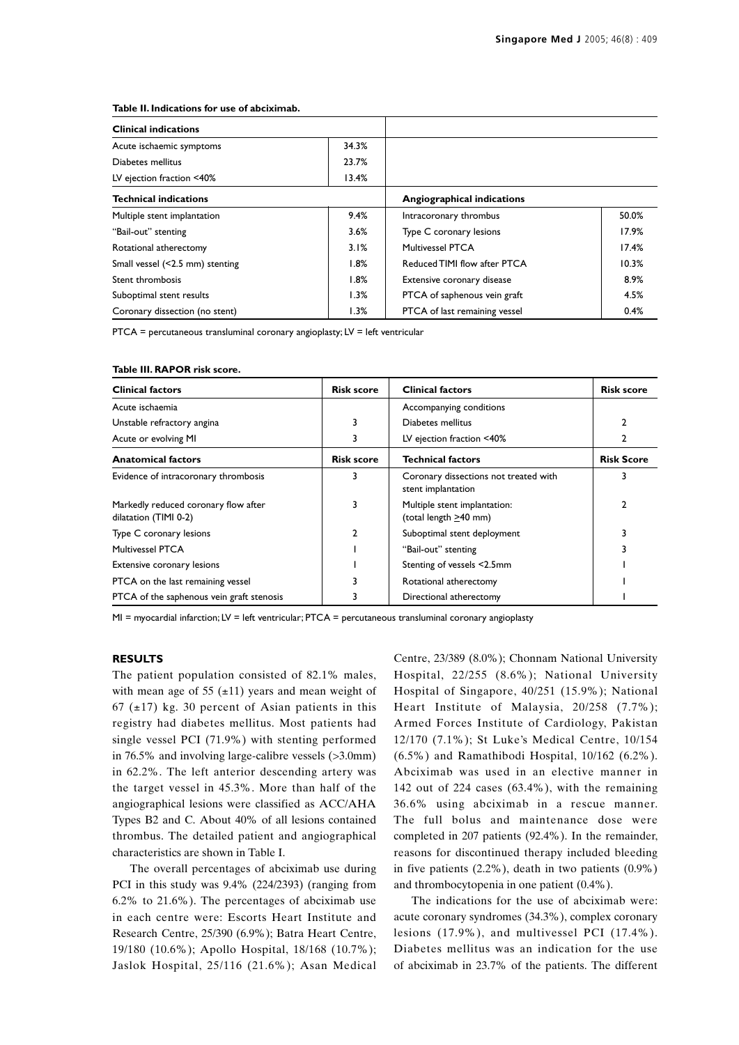#### **Table II. Indications for use of abciximab.**

| <b>Clinical indications</b>     |       |                               |       |  |
|---------------------------------|-------|-------------------------------|-------|--|
| Acute ischaemic symptoms        | 34.3% |                               |       |  |
| Diabetes mellitus               | 23.7% |                               |       |  |
| LV ejection fraction <40%       | 13.4% |                               |       |  |
| <b>Technical indications</b>    |       | Angiographical indications    |       |  |
| Multiple stent implantation     | 9.4%  | Intracoronary thrombus        | 50.0% |  |
| "Bail-out" stenting             | 3.6%  | Type C coronary lesions       | 17.9% |  |
| Rotational atherectomy          | 3.1%  | Multivessel PTCA              | 17.4% |  |
| Small vessel (<2.5 mm) stenting | 1.8%  | Reduced TIMI flow after PTCA  | 10.3% |  |
| Stent thrombosis                | 1.8%  | Extensive coronary disease    | 8.9%  |  |
| Suboptimal stent results        | 1.3%  | PTCA of saphenous vein graft  | 4.5%  |  |
| Coronary dissection (no stent)  | 1.3%  | PTCA of last remaining vessel | 0.4%  |  |

PTCA = percutaneous transluminal coronary angioplasty; LV = left ventricular

#### **Table III. RAPOR risk score.**

| <b>Clinical factors</b>                                       | <b>Risk score</b> | <b>Clinical factors</b>                                     | <b>Risk score</b> |
|---------------------------------------------------------------|-------------------|-------------------------------------------------------------|-------------------|
| Acute ischaemia                                               |                   | Accompanying conditions                                     |                   |
| Unstable refractory angina                                    |                   | Diabetes mellitus                                           | 2                 |
| Acute or evolving MI                                          | 3                 | LV ejection fraction <40%                                   | 2                 |
| <b>Anatomical factors</b>                                     | <b>Risk score</b> | <b>Technical factors</b>                                    | <b>Risk Score</b> |
| Evidence of intracoronary thrombosis                          |                   | Coronary dissections not treated with<br>stent implantation | 3                 |
| Markedly reduced coronary flow after<br>dilatation (TIMI 0-2) | 3                 | Multiple stent implantation:<br>(total length >40 mm)       | 2                 |
| Type C coronary lesions                                       | 2                 | Suboptimal stent deployment                                 |                   |
| <b>Multivessel PTCA</b>                                       |                   | "Bail-out" stenting                                         |                   |
| Extensive coronary lesions                                    |                   | Stenting of vessels <2.5mm                                  |                   |
| PTCA on the last remaining vessel                             |                   | Rotational atherectomy                                      |                   |
| PTCA of the saphenous vein graft stenosis                     |                   | Directional atherectomy                                     |                   |

MI = myocardial infarction; LV = left ventricular; PTCA = percutaneous transluminal coronary angioplasty

# **RESULTS**

The patient population consisted of 82.1% males, with mean age of 55  $(\pm 11)$  years and mean weight of 67 ( $\pm$ 17) kg. 30 percent of Asian patients in this registry had diabetes mellitus. Most patients had single vessel PCI (71.9%) with stenting performed in 76.5% and involving large-calibre vessels (>3.0mm) in 62.2%. The left anterior descending artery was the target vessel in 45.3%. More than half of the angiographical lesions were classified as ACC/AHA Types B2 and C. About 40% of all lesions contained thrombus. The detailed patient and angiographical characteristics are shown in Table I.

The overall percentages of abciximab use during PCI in this study was 9.4% (224/2393) (ranging from 6.2% to 21.6%). The percentages of abciximab use in each centre were: Escorts Heart Institute and Research Centre, 25/390 (6.9%); Batra Heart Centre, 19/180 (10.6%); Apollo Hospital, 18/168 (10.7%); Jaslok Hospital, 25/116 (21.6%); Asan Medical Centre, 23/389 (8.0%); Chonnam National University Hospital, 22/255 (8.6%); National University Hospital of Singapore, 40/251 (15.9%); National Heart Institute of Malaysia, 20/258 (7.7%); Armed Forces Institute of Cardiology, Pakistan 12/170 (7.1%); St Luke's Medical Centre, 10/154 (6.5%) and Ramathibodi Hospital, 10/162 (6.2%). Abciximab was used in an elective manner in 142 out of 224 cases (63.4%), with the remaining 36.6% using abciximab in a rescue manner. The full bolus and maintenance dose were completed in 207 patients (92.4%). In the remainder, reasons for discontinued therapy included bleeding in five patients (2.2%), death in two patients (0.9%) and thrombocytopenia in one patient (0.4%).

The indications for the use of abciximab were: acute coronary syndromes (34.3%), complex coronary lesions (17.9%), and multivessel PCI (17.4%). Diabetes mellitus was an indication for the use of abciximab in 23.7% of the patients. The different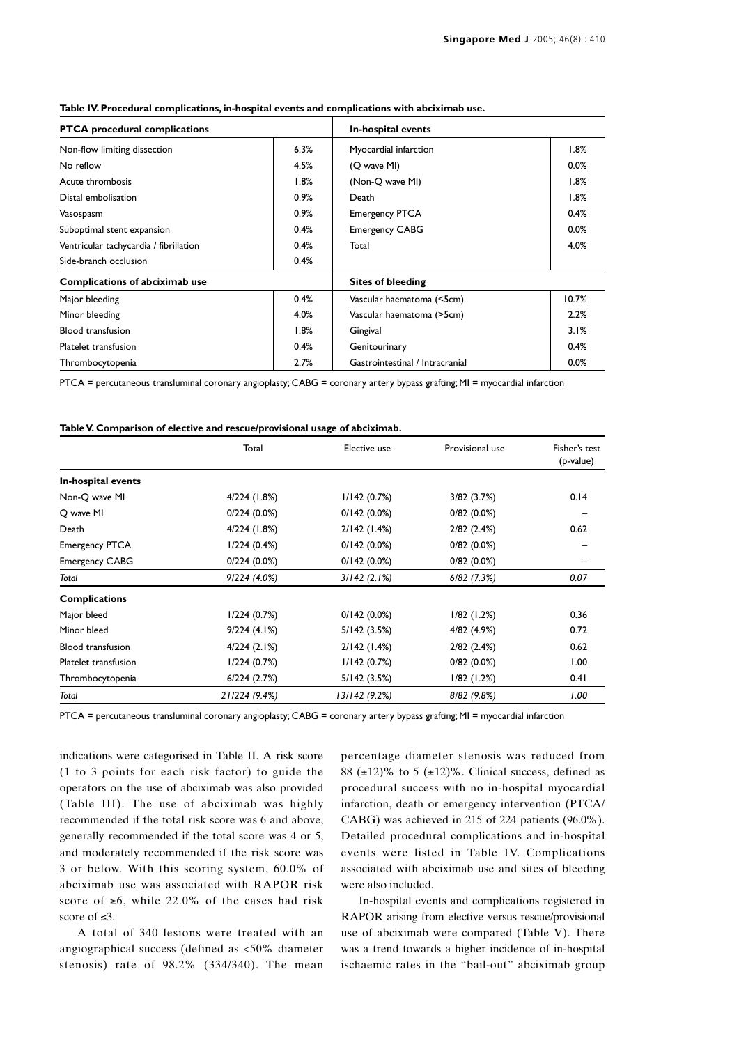| <b>PTCA</b> procedural complications   |      | In-hospital events              |       |
|----------------------------------------|------|---------------------------------|-------|
| Non-flow limiting dissection           | 6.3% | Myocardial infarction           | 1.8%  |
| No reflow                              | 4.5% | (Q wave MI)                     | 0.0%  |
| Acute thrombosis                       | 1.8% | (Non-Q wave MI)                 | 1.8%  |
| Distal embolisation                    | 0.9% | Death                           | 1.8%  |
| Vasospasm                              | 0.9% | <b>Emergency PTCA</b>           | 0.4%  |
| Suboptimal stent expansion             | 0.4% | <b>Emergency CABG</b>           | 0.0%  |
| Ventricular tachycardia / fibrillation | 0.4% | Total                           | 4.0%  |
| Side-branch occlusion                  | 0.4% |                                 |       |
| Complications of abciximab use         |      | <b>Sites of bleeding</b>        |       |
| Major bleeding                         | 0.4% | Vascular haematoma (<5cm)       | 10.7% |
| Minor bleeding                         | 4.0% | Vascular haematoma (>5cm)       | 2.2%  |
| <b>Blood transfusion</b>               | 1.8% | Gingival                        | 3.1%  |
| Platelet transfusion                   | 0.4% | Genitourinary                   | 0.4%  |
| Thrombocytopenia                       | 2.7% | Gastrointestinal / Intracranial | 0.0%  |

# **Table IV. Procedural complications, in-hospital events and complications with abciximab use.**

PTCA = percutaneous transluminal coronary angioplasty; CABG = coronary artery bypass grafting; MI = myocardial infarction

**Table V. Comparison of elective and rescue/provisional usage of abciximab.**

|                          | Total          | Elective use   | Provisional use | Fisher's test<br>(p-value) |
|--------------------------|----------------|----------------|-----------------|----------------------------|
| In-hospital events       |                |                |                 |                            |
| Non-Q wave MI            | 4/224 (1.8%)   | 1/142(0.7%)    | 3/82 (3.7%)     | 0.14                       |
| Q wave MI                | $0/224(0.0\%)$ | 0/142(0.0%)    | $0/82(0.0\%)$   |                            |
| Death                    | 4/224 (1.8%)   | 2/142(1.4%)    | 2/82(2.4%)      | 0.62                       |
| <b>Emergency PTCA</b>    | 1/224(0.4%)    | $0/142(0.0\%)$ | $0/82(0.0\%)$   |                            |
| <b>Emergency CABG</b>    | 0/224(0.0%)    | 0/142(0.0%)    | $0/82(0.0\%)$   |                            |
| Total                    | 9/224(4.0%)    | 3/142(2.1%)    | $6/82$ (7.3%)   | 0.07                       |
| <b>Complications</b>     |                |                |                 |                            |
| Major bleed              | 1/224(0.7%)    | $0/142(0.0\%)$ | $1/82$ (1.2%)   | 0.36                       |
| Minor bleed              | 9/224(4.1%)    | 5/142 (3.5%)   | 4/82 (4.9%)     | 0.72                       |
| <b>Blood transfusion</b> | 4/224(2.1%)    | 2/142(1.4%)    | $2/82$ (2.4%)   | 0.62                       |
| Platelet transfusion     | 1/224(0.7%)    | 1/142(0.7%)    | $0/82(0.0\%)$   | 1.00                       |
| Thrombocytopenia         | 6/224(2.7%)    | 5/142 (3.5%)   | $1/82$ (1.2%)   | 0.41                       |
| Total                    | 21/224 (9.4%)  | 13/142(9.2%)   | 8/82 (9.8%)     | 1.00                       |

PTCA = percutaneous transluminal coronary angioplasty; CABG = coronary artery bypass grafting; MI = myocardial infarction

indications were categorised in Table II. A risk score (1 to 3 points for each risk factor) to guide the operators on the use of abciximab was also provided (Table III). The use of abciximab was highly recommended if the total risk score was 6 and above, generally recommended if the total score was 4 or 5, and moderately recommended if the risk score was 3 or below. With this scoring system, 60.0% of abciximab use was associated with RAPOR risk score of  $\ge 6$ , while 22.0% of the cases had risk score of ≤3.

A total of 340 lesions were treated with an angiographical success (defined as <50% diameter stenosis) rate of 98.2% (334/340). The mean

percentage diameter stenosis was reduced from 88 ( $\pm$ 12)% to 5 ( $\pm$ 12)%. Clinical success, defined as procedural success with no in-hospital myocardial infarction, death or emergency intervention (PTCA/ CABG) was achieved in 215 of 224 patients (96.0%). Detailed procedural complications and in-hospital events were listed in Table IV. Complications associated with abciximab use and sites of bleeding were also included.

In-hospital events and complications registered in RAPOR arising from elective versus rescue/provisional use of abciximab were compared (Table V). There was a trend towards a higher incidence of in-hospital ischaemic rates in the "bail-out" abciximab group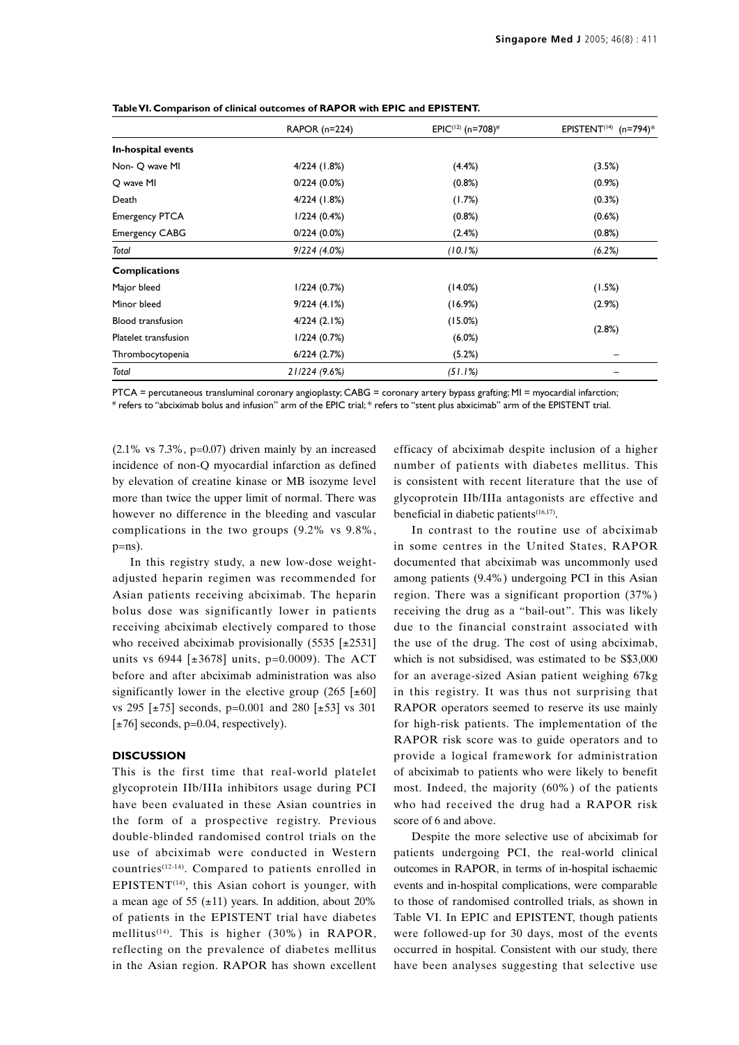|                          | RAPOR (n=224)  | EPIC <sup>(12)</sup> (n=708) <sup>#</sup> | EPISTENT <sup>(14)</sup> (n=794)* |  |
|--------------------------|----------------|-------------------------------------------|-----------------------------------|--|
| In-hospital events       |                |                                           |                                   |  |
| Non- O wave MI           | 4/224 (1.8%)   | $(4.4\%)$                                 | (3.5%)                            |  |
| O wave MI                | $0/224(0.0\%)$ | (0.8%)                                    | $(0.9\%)$                         |  |
| Death                    | 4/224 (1.8%)   | (1.7%)                                    | (0.3%)                            |  |
| <b>Emergency PTCA</b>    | 1/224(0.4%)    | (0.8%)                                    | (0.6%)                            |  |
| <b>Emergency CABG</b>    | $0/224(0.0\%)$ | (2.4%)                                    | (0.8%)                            |  |
| Total                    | 9/224(4.0%)    | (10.1%)                                   | (6.2%)                            |  |
| <b>Complications</b>     |                |                                           |                                   |  |
| Major bleed              | 1/224(0.7%)    | (14.0%)                                   | (1.5%)                            |  |
| Minor bleed              | 9/224(4.1%)    | (16.9%)                                   | (2.9%)                            |  |
| <b>Blood transfusion</b> | 4/224(2.1%)    | (15.0%)                                   |                                   |  |
| Platelet transfusion     | 1/224(0.7%)    | $(6.0\%)$                                 | (2.8%)                            |  |
| Thrombocytopenia         | 6/224(2.7%)    | (5.2%)                                    |                                   |  |
| Total                    | 21/224 (9.6%)  | (51.1%)                                   |                                   |  |

**Table VI. Comparison of clinical outcomes of RAPOR with EPIC and EPISTENT.**

PTCA = percutaneous transluminal coronary angioplasty; CABG = coronary artery bypass grafting; MI = myocardial infarction; # refers to "abciximab bolus and infusion" arm of the EPIC trial; \* refers to "stent plus abxicimab" arm of the EPISTENT trial.

 $(2.1\% \text{ vs } 7.3\%, \text{ p=0.07})$  driven mainly by an increased incidence of non-Q myocardial infarction as defined by elevation of creatine kinase or MB isozyme level more than twice the upper limit of normal. There was however no difference in the bleeding and vascular complications in the two groups (9.2% vs 9.8%,  $p=ns$ ).

In this registry study, a new low-dose weightadjusted heparin regimen was recommended for Asian patients receiving abciximab. The heparin bolus dose was significantly lower in patients receiving abciximab electively compared to those who received abciximab provisionally  $(5535 \; [±2531]$ units vs 6944 [ $\pm 3678$ ] units, p=0.0009). The ACT before and after abciximab administration was also significantly lower in the elective group  $(265 \text{ [±}60]$ vs 295 [±75] seconds, p=0.001 and 280 [±53] vs 301  $[\pm 76]$  seconds, p=0.04, respectively).

# **DISCUSSION**

This is the first time that real-world platelet glycoprotein IIb/IIIa inhibitors usage during PCI have been evaluated in these Asian countries in the form of a prospective registry. Previous double-blinded randomised control trials on the use of abciximab were conducted in Western countries(12-14). Compared to patients enrolled in EPISTENT $(14)$ , this Asian cohort is younger, with a mean age of 55  $(\pm 11)$  years. In addition, about 20% of patients in the EPISTENT trial have diabetes mellitus<sup>(14)</sup>. This is higher  $(30\%)$  in RAPOR, reflecting on the prevalence of diabetes mellitus in the Asian region. RAPOR has shown excellent efficacy of abciximab despite inclusion of a higher number of patients with diabetes mellitus. This is consistent with recent literature that the use of glycoprotein IIb/IIIa antagonists are effective and beneficial in diabetic patients<sup>(16,17)</sup>.

In contrast to the routine use of abciximab in some centres in the United States, RAPOR documented that abciximab was uncommonly used among patients (9.4%) undergoing PCI in this Asian region. There was a significant proportion (37%) receiving the drug as a "bail-out". This was likely due to the financial constraint associated with the use of the drug. The cost of using abciximab, which is not subsidised, was estimated to be S\$3,000 for an average-sized Asian patient weighing 67kg in this registry. It was thus not surprising that RAPOR operators seemed to reserve its use mainly for high-risk patients. The implementation of the RAPOR risk score was to guide operators and to provide a logical framework for administration of abciximab to patients who were likely to benefit most. Indeed, the majority (60%) of the patients who had received the drug had a RAPOR risk score of 6 and above.

Despite the more selective use of abciximab for patients undergoing PCI, the real-world clinical outcomes in RAPOR, in terms of in-hospital ischaemic events and in-hospital complications, were comparable to those of randomised controlled trials, as shown in Table VI. In EPIC and EPISTENT, though patients were followed-up for 30 days, most of the events occurred in hospital. Consistent with our study, there have been analyses suggesting that selective use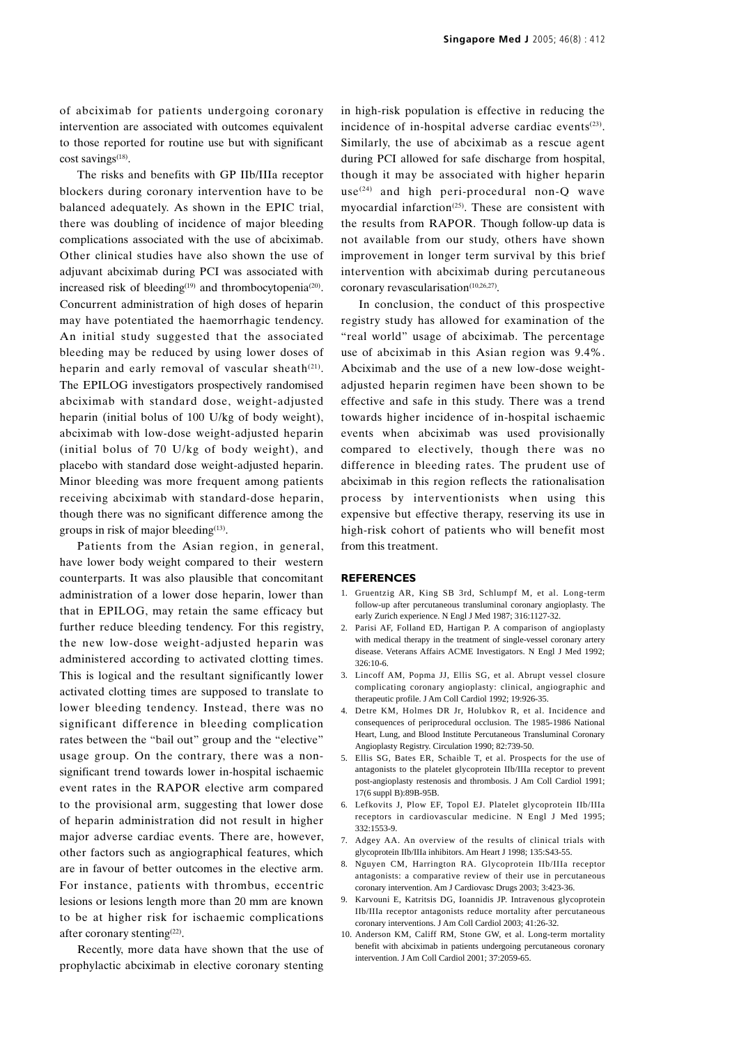of abciximab for patients undergoing coronary intervention are associated with outcomes equivalent to those reported for routine use but with significant cost savings $(18)$ .

The risks and benefits with GP IIb/IIIa receptor blockers during coronary intervention have to be balanced adequately. As shown in the EPIC trial, there was doubling of incidence of major bleeding complications associated with the use of abciximab. Other clinical studies have also shown the use of adjuvant abciximab during PCI was associated with increased risk of bleeding<sup>(19)</sup> and thrombocytopenia<sup>(20)</sup>. Concurrent administration of high doses of heparin may have potentiated the haemorrhagic tendency. An initial study suggested that the associated bleeding may be reduced by using lower doses of heparin and early removal of vascular sheath $(21)$ . The EPILOG investigators prospectively randomised abciximab with standard dose, weight-adjusted heparin (initial bolus of 100 U/kg of body weight), abciximab with low-dose weight-adjusted heparin (initial bolus of 70 U/kg of body weight), and placebo with standard dose weight-adjusted heparin. Minor bleeding was more frequent among patients receiving abciximab with standard-dose heparin, though there was no significant difference among the groups in risk of major bleeding<sup>(13)</sup>.

Patients from the Asian region, in general, have lower body weight compared to their western counterparts. It was also plausible that concomitant administration of a lower dose heparin, lower than that in EPILOG, may retain the same efficacy but further reduce bleeding tendency. For this registry, the new low-dose weight-adjusted heparin was administered according to activated clotting times. This is logical and the resultant significantly lower activated clotting times are supposed to translate to lower bleeding tendency. Instead, there was no significant difference in bleeding complication rates between the "bail out" group and the "elective" usage group. On the contrary, there was a nonsignificant trend towards lower in-hospital ischaemic event rates in the RAPOR elective arm compared to the provisional arm, suggesting that lower dose of heparin administration did not result in higher major adverse cardiac events. There are, however, other factors such as angiographical features, which are in favour of better outcomes in the elective arm. For instance, patients with thrombus, eccentric lesions or lesions length more than 20 mm are known to be at higher risk for ischaemic complications after coronary stenting<sup>(22)</sup>.

Recently, more data have shown that the use of prophylactic abciximab in elective coronary stenting

in high-risk population is effective in reducing the incidence of in-hospital adverse cardiac events $(23)$ . Similarly, the use of abciximab as a rescue agent during PCI allowed for safe discharge from hospital, though it may be associated with higher heparin  $use^{(24)}$  and high peri-procedural non-Q wave myocardial infarction<sup> $(25)$ </sup>. These are consistent with the results from RAPOR. Though follow-up data is not available from our study, others have shown improvement in longer term survival by this brief intervention with abciximab during percutaneous coronary revascularisation<sup>(10,26,27)</sup>.

In conclusion, the conduct of this prospective registry study has allowed for examination of the "real world" usage of abciximab. The percentage use of abciximab in this Asian region was 9.4%. Abciximab and the use of a new low-dose weightadjusted heparin regimen have been shown to be effective and safe in this study. There was a trend towards higher incidence of in-hospital ischaemic events when abciximab was used provisionally compared to electively, though there was no difference in bleeding rates. The prudent use of abciximab in this region reflects the rationalisation process by interventionists when using this expensive but effective therapy, reserving its use in high-risk cohort of patients who will benefit most from this treatment.

### **REFERENCES**

- 1. Gruentzig AR, King SB 3rd, Schlumpf M, et al. Long-term follow-up after percutaneous transluminal coronary angioplasty. The early Zurich experience. N Engl J Med 1987; 316:1127-32.
- 2. Parisi AF, Folland ED, Hartigan P. A comparison of angioplasty with medical therapy in the treatment of single-vessel coronary artery disease. Veterans Affairs ACME Investigators. N Engl J Med 1992;  $326:10-6$
- 3. Lincoff AM, Popma JJ, Ellis SG, et al. Abrupt vessel closure complicating coronary angioplasty: clinical, angiographic and therapeutic profile. J Am Coll Cardiol 1992; 19:926-35.
- 4. Detre KM, Holmes DR Jr, Holubkov R, et al. Incidence and consequences of periprocedural occlusion. The 1985-1986 National Heart, Lung, and Blood Institute Percutaneous Transluminal Coronary Angioplasty Registry. Circulation 1990; 82:739-50.
- 5. Ellis SG, Bates ER, Schaible T, et al. Prospects for the use of antagonists to the platelet glycoprotein IIb/IIIa receptor to prevent post-angioplasty restenosis and thrombosis. J Am Coll Cardiol 1991; 17(6 suppl B):89B-95B.
- 6. Lefkovits J, Plow EF, Topol EJ. Platelet glycoprotein IIb/IIIa receptors in cardiovascular medicine. N Engl J Med 1995; 332:1553-9.
- 7. Adgey AA. An overview of the results of clinical trials with glycoprotein IIb/IIIa inhibitors. Am Heart J 1998; 135:S43-55.
- 8. Nguyen CM, Harrington RA. Glycoprotein IIb/IIIa receptor antagonists: a comparative review of their use in percutaneous coronary intervention. Am J Cardiovasc Drugs 2003; 3:423-36.
- 9. Karvouni E, Katritsis DG, Ioannidis JP. Intravenous glycoprotein IIb/IIIa receptor antagonists reduce mortality after percutaneous coronary interventions. J Am Coll Cardiol 2003; 41:26-32.
- 10. Anderson KM, Califf RM, Stone GW, et al. Long-term mortality benefit with abciximab in patients undergoing percutaneous coronary intervention. J Am Coll Cardiol 2001; 37:2059-65.